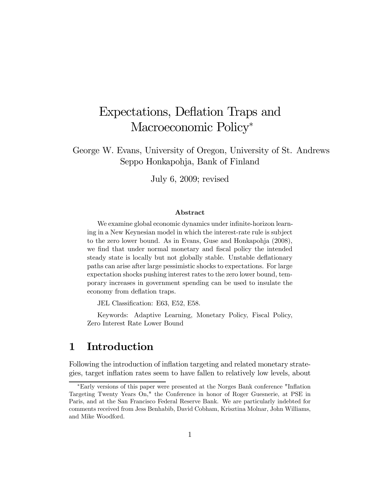# Expectations, Deflation Traps and Macroeconomic Policy<sup>∗</sup>

George W. Evans, University of Oregon, University of St. Andrews Seppo Honkapohja, Bank of Finland

July 6, 2009; revised

#### Abstract

We examine global economic dynamics under infinite-horizon learning in a New Keynesian model in which the interest-rate rule is subject to the zero lower bound. As in Evans, Guse and Honkapohja (2008), we find that under normal monetary and fiscal policy the intended steady state is locally but not globally stable. Unstable deflationary paths can arise after large pessimistic shocks to expectations. For large expectation shocks pushing interest rates to the zero lower bound, temporary increases in government spending can be used to insulate the economy from deflation traps.

JEL Classification: E63, E52, E58.

Keywords: Adaptive Learning, Monetary Policy, Fiscal Policy, Zero Interest Rate Lower Bound

# 1 Introduction

Following the introduction of inflation targeting and related monetary strategies, target inflation rates seem to have fallen to relatively low levels, about

<sup>∗</sup>Early versions of this paper were presented at the Norges Bank conference "Inflation Targeting Twenty Years On," the Conference in honor of Roger Guesnerie, at PSE in Paris, and at the San Francisco Federal Reserve Bank. We are particularly indebted for comments received from Jess Benhabib, David Cobham, Krisztina Molnar, John Williams, and Mike Woodford.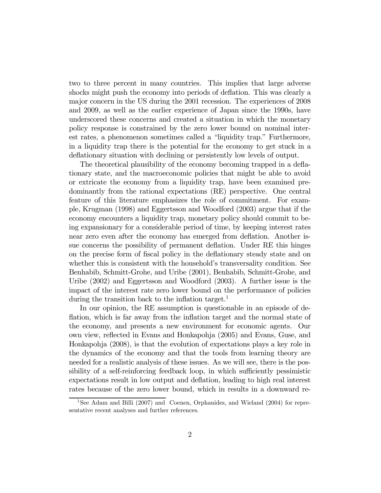two to three percent in many countries. This implies that large adverse shocks might push the economy into periods of deflation. This was clearly a major concern in the US during the 2001 recession. The experiences of 2008 and 2009, as well as the earlier experience of Japan since the 1990s, have underscored these concerns and created a situation in which the monetary policy response is constrained by the zero lower bound on nominal interest rates, a phenomenon sometimes called a "liquidity trap." Furthermore, in a liquidity trap there is the potential for the economy to get stuck in a deflationary situation with declining or persistently low levels of output.

The theoretical plausibility of the economy becoming trapped in a deflationary state, and the macroeconomic policies that might be able to avoid or extricate the economy from a liquidity trap, have been examined predominantly from the rational expectations (RE) perspective. One central feature of this literature emphasizes the role of commitment. For example, Krugman (1998) and Eggertsson and Woodford (2003) argue that if the economy encounters a liquidity trap, monetary policy should commit to being expansionary for a considerable period of time, by keeping interest rates near zero even after the economy has emerged from deflation. Another issue concerns the possibility of permanent deflation. Under RE this hinges on the precise form of fiscal policy in the deflationary steady state and on whether this is consistent with the household's transversality condition. See Benhabib, Schmitt-Grohe, and Uribe (2001), Benhabib, Schmitt-Grohe, and Uribe (2002) and Eggertsson and Woodford (2003). A further issue is the impact of the interest rate zero lower bound on the performance of policies during the transition back to the inflation target.<sup>1</sup>

In our opinion, the RE assumption is questionable in an episode of deflation, which is far away from the inflation target and the normal state of the economy, and presents a new environment for economic agents. Our own view, reflected in Evans and Honkapohja (2005) and Evans, Guse, and Honkapohja (2008), is that the evolution of expectations plays a key role in the dynamics of the economy and that the tools from learning theory are needed for a realistic analysis of these issues. As we will see, there is the possibility of a self-reinforcing feedback loop, in which sufficiently pessimistic expectations result in low output and deflation, leading to high real interest rates because of the zero lower bound, which in results in a downward re-

<sup>&</sup>lt;sup>1</sup>See Adam and Billi (2007) and Coenen, Orphanides, and Wieland (2004) for representative recent analyses and further references.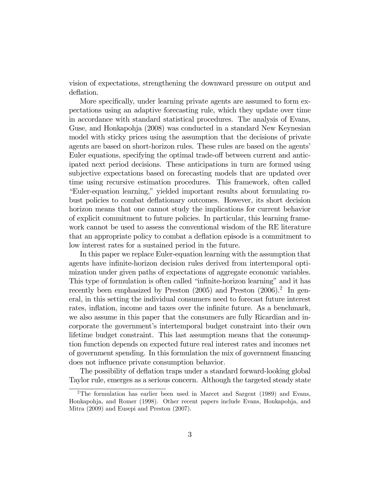vision of expectations, strengthening the downward pressure on output and deflation.

More specifically, under learning private agents are assumed to form expectations using an adaptive forecasting rule, which they update over time in accordance with standard statistical procedures. The analysis of Evans, Guse, and Honkapohja (2008) was conducted in a standard New Keynesian model with sticky prices using the assumption that the decisions of private agents are based on short-horizon rules. These rules are based on the agents' Euler equations, specifying the optimal trade-off between current and anticipated next period decisions. These anticipations in turn are formed using subjective expectations based on forecasting models that are updated over time using recursive estimation procedures. This framework, often called "Euler-equation learning," yielded important results about formulating robust policies to combat deflationary outcomes. However, its short decision horizon means that one cannot study the implications for current behavior of explicit commitment to future policies. In particular, this learning framework cannot be used to assess the conventional wisdom of the RE literature that an appropriate policy to combat a deflation episode is a commitment to low interest rates for a sustained period in the future.

In this paper we replace Euler-equation learning with the assumption that agents have infinite-horizon decision rules derived from intertemporal optimization under given paths of expectations of aggregate economic variables. This type of formulation is often called "infinite-horizon learning" and it has recently been emphasized by Preston  $(2005)$  and Preston  $(2006).$ <sup>2</sup> In general, in this setting the individual consumers need to forecast future interest rates, inflation, income and taxes over the infinite future. As a benchmark, we also assume in this paper that the consumers are fully Ricardian and incorporate the government's intertemporal budget constraint into their own lifetime budget constraint. This last assumption means that the consumption function depends on expected future real interest rates and incomes net of government spending. In this formulation the mix of government financing does not influence private consumption behavior.

The possibility of deflation traps under a standard forward-looking global Taylor rule, emerges as a serious concern. Although the targeted steady state

<sup>&</sup>lt;sup>2</sup>The formulation has earlier been used in Marcet and Sargent  $(1989)$  and Evans, Honkapohja, and Romer (1998). Other recent papers include Evans, Honkapohja, and Mitra (2009) and Eusepi and Preston (2007).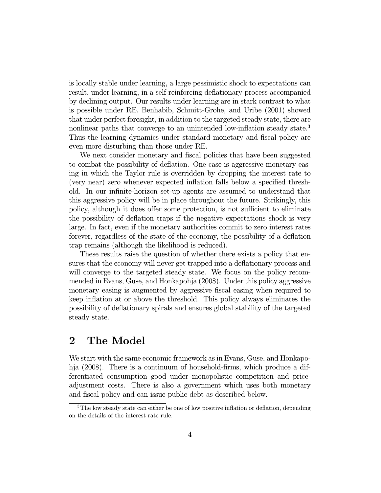is locally stable under learning, a large pessimistic shock to expectations can result, under learning, in a self-reinforcing deflationary process accompanied by declining output. Our results under learning are in stark contrast to what is possible under RE. Benhabib, Schmitt-Grohe, and Uribe (2001) showed that under perfect foresight, in addition to the targeted steady state, there are nonlinear paths that converge to an unintended low-inflation steady state.<sup>3</sup> Thus the learning dynamics under standard monetary and fiscal policy are even more disturbing than those under RE.

We next consider monetary and fiscal policies that have been suggested to combat the possibility of deflation. One case is aggressive monetary easing in which the Taylor rule is overridden by dropping the interest rate to (very near) zero whenever expected inflation falls below a specified threshold. In our infinite-horizon set-up agents are assumed to understand that this aggressive policy will be in place throughout the future. Strikingly, this policy, although it does offer some protection, is not sufficient to eliminate the possibility of deflation traps if the negative expectations shock is very large. In fact, even if the monetary authorities commit to zero interest rates forever, regardless of the state of the economy, the possibility of a deflation trap remains (although the likelihood is reduced).

These results raise the question of whether there exists a policy that ensures that the economy will never get trapped into a deflationary process and will converge to the targeted steady state. We focus on the policy recommended in Evans, Guse, and Honkapohja (2008). Under this policy aggressive monetary easing is augmented by aggressive fiscal easing when required to keep inflation at or above the threshold. This policy always eliminates the possibility of deflationary spirals and ensures global stability of the targeted steady state.

## 2 The Model

We start with the same economic framework as in Evans, Guse, and Honkapohja (2008). There is a continuum of household-firms, which produce a differentiated consumption good under monopolistic competition and priceadjustment costs. There is also a government which uses both monetary and fiscal policy and can issue public debt as described below.

<sup>&</sup>lt;sup>3</sup>The low steady state can either be one of low positive inflation or deflation, depending on the details of the interest rate rule.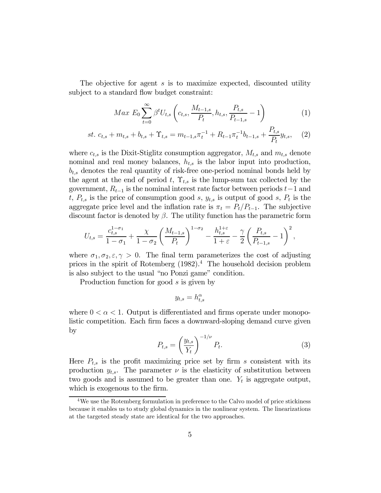The objective for agent s is to maximize expected, discounted utility subject to a standard flow budget constraint:

$$
Max\ E_{0}\sum_{t=0}^{\infty}\beta^{t}U_{t,s}\left(c_{t,s},\frac{M_{t-1,s}}{P_{t}},h_{t,s},\frac{P_{t,s}}{P_{t-1,s}}-1\right)
$$
(1)

$$
st. \ c_{t,s} + m_{t,s} + b_{t,s} + \Upsilon_{t,s} = m_{t-1,s} \pi_t^{-1} + R_{t-1} \pi_t^{-1} b_{t-1,s} + \frac{P_{t,s}}{P_t} y_{t,s}, \tag{2}
$$

where  $c_{t,s}$  is the Dixit-Stiglitz consumption aggregator,  $M_{t,s}$  and  $m_{t,s}$  denote nominal and real money balances,  $h_{t,s}$  is the labor input into production,  $b_{t,s}$  denotes the real quantity of risk-free one-period nominal bonds held by the agent at the end of period t,  $\Upsilon_{t,s}$  is the lump-sum tax collected by the government,  $R_{t-1}$  is the nominal interest rate factor between periods  $t-1$  and t,  $P_{t,s}$  is the price of consumption good s,  $y_{t,s}$  is output of good s,  $P_t$  is the aggregate price level and the inflation rate is  $\pi_t = P_t/P_{t-1}$ . The subjective discount factor is denoted by  $\beta$ . The utility function has the parametric form

$$
U_{t,s} = \frac{c_{t,s}^{1-\sigma_1}}{1-\sigma_1} + \frac{\chi}{1-\sigma_2} \left(\frac{M_{t-1,s}}{P_t}\right)^{1-\sigma_2} - \frac{h_{t,s}^{1+\varepsilon}}{1+\varepsilon} - \frac{\gamma}{2} \left(\frac{P_{t,s}}{P_{t-1,s}} - 1\right)^2,
$$

where  $\sigma_1, \sigma_2, \varepsilon, \gamma > 0$ . The final term parameterizes the cost of adjusting prices in the spirit of Rotemberg  $(1982)^4$ . The household decision problem is also subject to the usual "no Ponzi game" condition.

Production function for good s is given by

$$
y_{t,s} = h_{t,s}^{\alpha}
$$

where  $0 < \alpha < 1$ . Output is differentiated and firms operate under monopolistic competition. Each firm faces a downward-sloping demand curve given by

$$
P_{t,s} = \left(\frac{y_{t,s}}{Y_t}\right)^{-1/\nu} P_t.
$$
\n(3)

Here  $P_{t,s}$  is the profit maximizing price set by firm s consistent with its production  $y_{t,s}$ . The parameter  $\nu$  is the elasticity of substitution between two goods and is assumed to be greater than one.  $Y_t$  is aggregate output, which is exogenous to the firm.

<sup>&</sup>lt;sup>4</sup>We use the Rotemberg formulation in preference to the Calvo model of price stickiness because it enables us to study global dynamics in the nonlinear system. The linearizations at the targeted steady state are identical for the two approaches.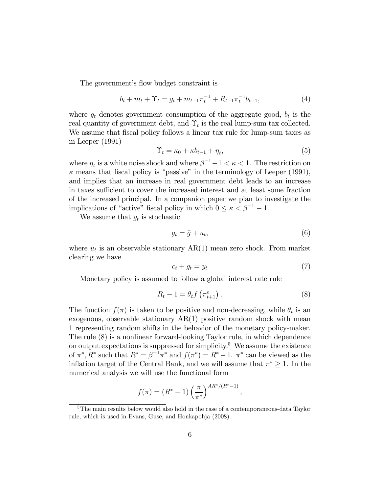The government's flow budget constraint is

$$
b_t + m_t + \Upsilon_t = g_t + m_{t-1} \pi_t^{-1} + R_{t-1} \pi_t^{-1} b_{t-1}, \tag{4}
$$

where  $g_t$  denotes government consumption of the aggregate good,  $b_t$  is the real quantity of government debt, and  $\Upsilon_t$  is the real lump-sum tax collected. We assume that fiscal policy follows a linear tax rule for lump-sum taxes as in Leeper (1991)

$$
\Upsilon_t = \kappa_0 + \kappa b_{t-1} + \eta_t,\tag{5}
$$

where  $\eta_t$  is a white noise shock and where  $\beta^{-1} - 1 < \kappa < 1$ . The restriction on  $\kappa$  means that fiscal policy is "passive" in the terminology of Leeper (1991), and implies that an increase in real government debt leads to an increase in taxes sufficient to cover the increased interest and at least some fraction of the increased principal. In a companion paper we plan to investigate the implications of "active" fiscal policy in which  $0 \le \kappa < \beta^{-1} - 1$ .

We assume that  $g_t$  is stochastic

$$
g_t = \bar{g} + u_t,\tag{6}
$$

where  $u_t$  is an observable stationary  $AR(1)$  mean zero shock. From market clearing we have

$$
c_t + g_t = y_t \tag{7}
$$

,

Monetary policy is assumed to follow a global interest rate rule

$$
R_t - 1 = \theta_t f\left(\pi_{t+1}^e\right). \tag{8}
$$

The function  $f(\pi)$  is taken to be positive and non-decreasing, while  $\theta_t$  is an exogenous, observable stationary  $AR(1)$  positive random shock with mean 1 representing random shifts in the behavior of the monetary policy-maker. The rule (8) is a nonlinear forward-looking Taylor rule, in which dependence on output expectations is suppressed for simplicity.<sup>5</sup> We assume the existence of  $\pi^*, R^*$  such that  $R^* = \beta^{-1}\pi^*$  and  $f(\pi^*) = R^* - 1$ .  $\pi^*$  can be viewed as the inflation target of the Central Bank, and we will assume that  $\pi^* \geq 1$ . In the numerical analysis we will use the functional form

$$
f(\pi) = (R^* - 1) \left(\frac{\pi}{\pi^*}\right)^{AR^*/(R^*-1)}
$$

<sup>&</sup>lt;sup>5</sup>The main results below would also hold in the case of a contemporaneous-data Taylor rule, which is used in Evans, Guse, and Honkapohja (2008).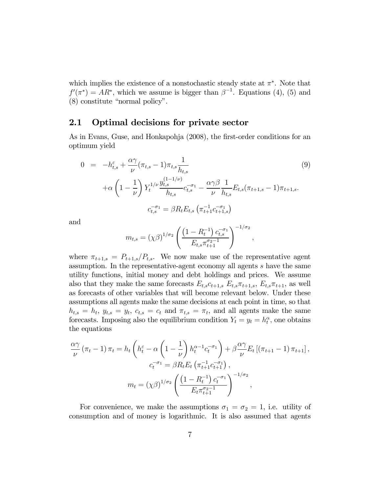which implies the existence of a nonstochastic steady state at  $\pi^*$ . Note that  $f'(\pi^*) = AR^*$ , which we assume is bigger than  $\beta^{-1}$ . Equations (4), (5) and (8) constitute "normal policy".

### 2.1 Optimal decisions for private sector

As in Evans, Guse, and Honkapohja (2008), the first-order conditions for an optimum yield

$$
0 = -h_{t,s}^{\varepsilon} + \frac{\alpha \gamma}{\nu} (\pi_{t,s} - 1) \pi_{t,s} \frac{1}{h_{t,s}} \tag{9}
$$
  
 
$$
+ \alpha \left( 1 - \frac{1}{\nu} \right) Y_t^{1/\nu} \frac{y_{t,s}^{(1-1/\nu)}}{h_{t,s}} c_{t,s}^{-\sigma_1} - \frac{\alpha \gamma \beta}{\nu} \frac{1}{h_{t,s}} E_{t,s} (\pi_{t+1,s} - 1) \pi_{t+1,s}.
$$
  
\n
$$
c_{t,s}^{-\sigma_1} = \beta R_t E_{t,s} \left( \pi_{t+1}^{-1} c_{t+1,s}^{-\sigma_1} \right)
$$

and

$$
m_{t,s} = (\chi \beta)^{1/\sigma_2} \left( \frac{\left(1 - R_t^{-1}\right) c_{t,s}^{-\sigma_1}}{E_{t,s} \pi_{t+1}^{\sigma_2 - 1}} \right)^{-1/\sigma_2},
$$

where  $\pi_{t+1,s} = P_{t+1,s}/P_{t,s}$ . We now make use of the representative agent assumption. In the representative-agent economy all agents s have the same utility functions, initial money and debt holdings and prices. We assume also that they make the same forecasts  $E_{t,s}c_{t+1,s} E_{t,s}\pi_{t+1,s}$ ,  $E_{t,s}\pi_{t+1}$ , as well as forecasts of other variables that will become relevant below. Under these assumptions all agents make the same decisions at each point in time, so that  $h_{t,s} = h_t$ ,  $y_{t,s} = y_t$ ,  $c_{t,s} = c_t$  and  $\pi_{t,s} = \pi_t$ , and all agents make the same forecasts. Imposing also the equilibrium condition  $Y_t = y_t = h_t^{\alpha}$ , one obtains the equations

$$
\frac{\alpha \gamma}{\nu} (\pi_t - 1) \pi_t = h_t \left( h_t^{\varepsilon} - \alpha \left( 1 - \frac{1}{\nu} \right) h_t^{\alpha - 1} c_t^{-\sigma_1} \right) + \beta \frac{\alpha \gamma}{\nu} E_t \left[ (\pi_{t+1} - 1) \pi_{t+1} \right],
$$
  

$$
c_t^{-\sigma_1} = \beta R_t E_t \left( \pi_{t+1}^{-1} c_{t+1}^{-\sigma_1} \right),
$$
  

$$
m_t = (\chi \beta)^{1/\sigma_2} \left( \frac{\left( 1 - R_t^{-1} \right) c_t^{-\sigma_1}}{E_t \pi_{t+1}^{\sigma_2 - 1}} \right)^{-1/\sigma_2},
$$

For convenience, we make the assumptions  $\sigma_1 = \sigma_2 = 1$ , i.e. utility of consumption and of money is logarithmic. It is also assumed that agents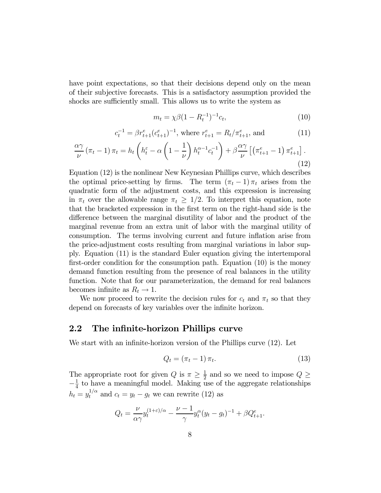have point expectations, so that their decisions depend only on the mean of their subjective forecasts. This is a satisfactory assumption provided the shocks are sufficiently small. This allows us to write the system as

$$
m_t = \chi \beta (1 - R_t^{-1})^{-1} c_t, \tag{10}
$$

$$
c_t^{-1} = \beta r_{t+1}^e (c_{t+1}^e)^{-1}, \text{ where } r_{t+1}^e = R_t / \pi_{t+1}^e, \text{ and } \tag{11}
$$

$$
\frac{\alpha \gamma}{\nu} \left(\pi_t - 1\right) \pi_t = h_t \left(h_t^{\varepsilon} - \alpha \left(1 - \frac{1}{\nu}\right) h_t^{\alpha - 1} c_t^{-1}\right) + \beta \frac{\alpha \gamma}{\nu} \left[\left(\pi_{t+1}^e - 1\right) \pi_{t+1}^e\right].
$$
\n(12)

Equation (12) is the nonlinear New Keynesian Phillips curve, which describes the optimal price-setting by firms. The term  $(\pi_t - 1) \pi_t$  arises from the quadratic form of the adjustment costs, and this expression is increasing in  $\pi_t$  over the allowable range  $\pi_t \geq 1/2$ . To interpret this equation, note that the bracketed expression in the first term on the right-hand side is the difference between the marginal disutility of labor and the product of the marginal revenue from an extra unit of labor with the marginal utility of consumption. The terms involving current and future inflation arise from the price-adjustment costs resulting from marginal variations in labor supply. Equation (11) is the standard Euler equation giving the intertemporal first-order condition for the consumption path. Equation (10) is the money demand function resulting from the presence of real balances in the utility function. Note that for our parameterization, the demand for real balances becomes infinite as  $R_t \to 1$ .

We now proceed to rewrite the decision rules for  $c_t$  and  $\pi_t$  so that they depend on forecasts of key variables over the infinite horizon.

#### 2.2 The infinite-horizon Phillips curve

We start with an infinite-horizon version of the Phillips curve (12). Let

$$
Q_t = (\pi_t - 1) \pi_t. \tag{13}
$$

The appropriate root for given  $Q$  is  $\pi \geq \frac{1}{2}$  and so we need to impose  $Q \geq$  $-\frac{1}{4}$  to have a meaningful model. Making use of the aggregate relationships  $h_t = y_t^{1/\alpha}$  and  $c_t = y_t - g_t$  we can rewrite (12) as

$$
Q_t = \frac{\nu}{\alpha \gamma} y_t^{(1+\varepsilon)/\alpha} - \frac{\nu-1}{\gamma} y_t^{\alpha} (y_t - g_t)^{-1} + \beta Q_{t+1}^e.
$$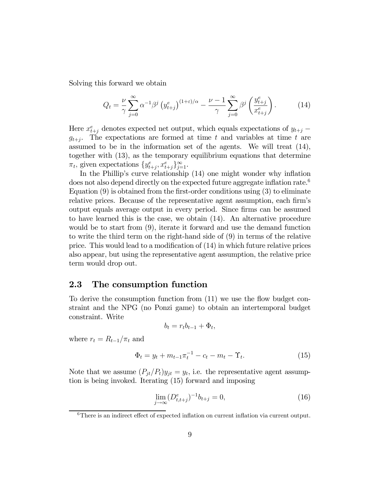Solving this forward we obtain

$$
Q_t = \frac{\nu}{\gamma} \sum_{j=0}^{\infty} \alpha^{-1} \beta^j \left( y_{t+j}^e \right)^{(1+\varepsilon)/\alpha} - \frac{\nu-1}{\gamma} \sum_{j=0}^{\infty} \beta^j \left( \frac{y_{t+j}^e}{x_{t+j}^e} \right). \tag{14}
$$

Here  $x_{t+j}^e$  denotes expected net output, which equals expectations of  $y_{t+j}$  –  $g_{t+i}$ . The expectations are formed at time t and variables at time t are assumed to be in the information set of the agents. We will treat (14), together with (13), as the temporary equilibrium equations that determine  $\pi_t$ , given expectations  $\{y_{t+j}^e, x_{t+j}^e\}_{j=1}^{\infty}$ .

In the Phillip's curve relationship (14) one might wonder why inflation does not also depend directly on the expected future aggregate inflation rate.<sup>6</sup> Equation  $(9)$  is obtained from the first-order conditions using  $(3)$  to eliminate relative prices. Because of the representative agent assumption, each firm's output equals average output in every period. Since firms can be assumed to have learned this is the case, we obtain (14). An alternative procedure would be to start from (9), iterate it forward and use the demand function to write the third term on the right-hand side of (9) in terms of the relative price. This would lead to a modification of (14) in which future relative prices also appear, but using the representative agent assumption, the relative price term would drop out.

#### 2.3 The consumption function

To derive the consumption function from (11) we use the flow budget constraint and the NPG (no Ponzi game) to obtain an intertemporal budget constraint. Write

$$
b_t = r_t b_{t-1} + \Phi_t,
$$

where  $r_t = R_{t-1}/\pi_t$  and

$$
\Phi_t = y_t + m_{t-1} \pi_t^{-1} - c_t - m_t - \Upsilon_t.
$$
\n(15)

Note that we assume  $(P_{jt}/P_t)y_{jt} = y_t$ , i.e. the representative agent assumption is being invoked. Iterating (15) forward and imposing

$$
\lim_{j \to \infty} (D_{t,t+j}^e)^{-1} b_{t+j} = 0,\tag{16}
$$

<sup>6</sup>There is an indirect effect of expected inflation on current inflation via current output.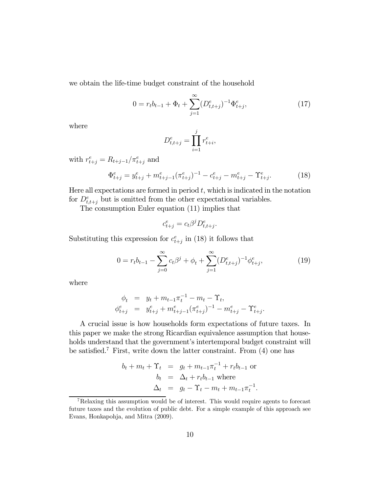we obtain the life-time budget constraint of the household

$$
0 = r_t b_{t-1} + \Phi_t + \sum_{j=1}^{\infty} (D_{t,t+j}^e)^{-1} \Phi_{t+j}^e, \tag{17}
$$

where

$$
D_{t,t+j}^e = \prod_{i=1}^j r_{t+i}^e,
$$

with  $r_{t+j}^e = R_{t+j-1}/\pi_{t+j}^e$  and

$$
\Phi_{t+j}^e = y_{t+j}^e + m_{t+j-1}^e (\pi_{t+j}^e)^{-1} - c_{t+j}^e - m_{t+j}^e - \Upsilon_{t+j}^e.
$$
 (18)

Here all expectations are formed in period  $t$ , which is indicated in the notation for  $D_{t,t+j}^e$  but is omitted from the other expectational variables.

The consumption Euler equation (11) implies that

$$
c_{t+j}^e = c_t \beta^j D_{t,t+j}^e.
$$

Substituting this expression for  $c_{t+j}^e$  in (18) it follows that

$$
0 = r_t b_{t-1} - \sum_{j=0}^{\infty} c_t \beta^j + \phi_t + \sum_{j=1}^{\infty} (D_{t,t+j}^e)^{-1} \phi_{t+j}^e,
$$
 (19)

where

$$
\begin{array}{rcl}\n\phi_t & = & y_t + m_{t-1} \pi_t^{-1} - m_t - \Upsilon_t, \\
\phi_{t+j}^e & = & y_{t+j}^e + m_{t+j-1}^e (\pi_{t+j}^e)^{-1} - m_{t+j}^e - \Upsilon_{t+j}^e.\n\end{array}
$$

A crucial issue is how households form expectations of future taxes. In this paper we make the strong Ricardian equivalence assumption that households understand that the government's intertemporal budget constraint will be satisfied.<sup>7</sup> First, write down the latter constraint. From  $(4)$  one has

$$
b_t + m_t + \Upsilon_t = g_t + m_{t-1}\pi_t^{-1} + r_t b_{t-1} \text{ or}
$$
  
\n
$$
b_t = \Delta_t + r_t b_{t-1} \text{ where}
$$
  
\n
$$
\Delta_t = g_t - \Upsilon_t - m_t + m_{t-1}\pi_t^{-1}.
$$

<sup>7</sup>Relaxing this assumption would be of interest. This would require agents to forecast future taxes and the evolution of public debt. For a simple example of this approach see Evans, Honkapohja, and Mitra (2009).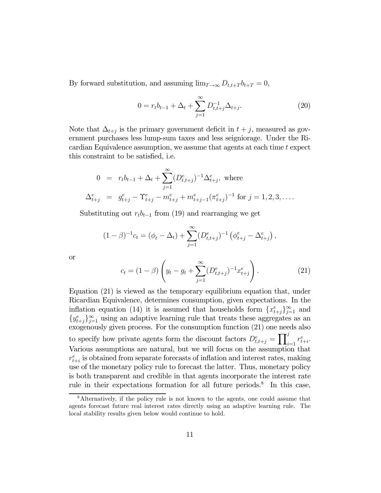By forward substitution, and assuming  $\lim_{T\to\infty} D_{t,t+T} b_{t+T} = 0$ ,

$$
0 = r_t b_{t-1} + \Delta_t + \sum_{j=1}^{\infty} D_{t,t+j}^{-1} \Delta_{t+j}.
$$
 (20)

Note that  $\Delta_{t+j}$  is the primary government deficit in  $t+j$ , measured as government purchases less lump-sum taxes and less seigniorage. Under the Ricardian Equivalence assumption, we assume that agents at each time  $t$  expect this constraint to be satisfied, i.e.

$$
0 = r_t b_{t-1} + \Delta_t + \sum_{j=1}^{\infty} (D_{t,t+j}^e)^{-1} \Delta_{t+j}^e, \text{ where}
$$
  

$$
\Delta_{t+j}^e = g_{t+j}^e - \Upsilon_{t+j}^e - m_{t+j}^e + m_{t+j-1}^e (\pi_{t+j}^e)^{-1} \text{ for } j = 1, 2, 3, ....
$$

Substituting out  $r_t b_{t-1}$  from (19) and rearranging we get

$$
(1 - \beta)^{-1} c_t = (\phi_t - \Delta_t) + \sum_{j=1}^{\infty} (D_{t,t+j}^e)^{-1} (\phi_{t+j}^e - \Delta_{t+j}^e),
$$

or

$$
c_t = (1 - \beta) \left( y_t - g_t + \sum_{j=1}^{\infty} (D_{t,t+j}^e)^{-1} x_{t+j}^e \right). \tag{21}
$$

Equation (21) is viewed as the temporary equilibrium equation that, under Ricardian Equivalence, determines consumption, given expectations. In the inflation equation (14) it is assumed that households form  $\{x_{t+j}^e\}_{j=1}^\infty$  and  ${y_{t+j}^e}_{j=1}^{\infty}$  using an adaptive learning rule that treats these aggregates as an exogenously given process. For the consumption function (21) one needs also to specify how private agents form the discount factors  $D_{t,t+j}^e = \prod_{i=1}^j r_{t+i}^e$ . Various assumptions are natural, but we will focus on the assumption that  $r_{t+i}^e$  is obtained from separate forecasts of inflation and interest rates, making use of the monetary policy rule to forecast the latter. Thus, monetary policy is both transparent and credible in that agents incorporate the interest rate rule in their expectations formation for all future periods.<sup>8</sup> In this case,

<sup>&</sup>lt;sup>8</sup>Alternatively, if the policy rule is not known to the agents, one could assume that agents forecast future real interest rates directly using an adaptive learning rule. The local stability results given below would continue to hold.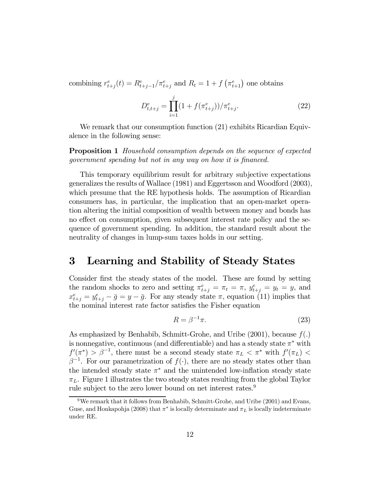combining  $r_{t+j}^e(t) = R_{t+j-1}^e / \pi_{t+j}^e$  and  $R_t = 1 + f\left(\pi_{t+1}^e\right)$  one obtains

$$
D_{t,t+j}^e = \prod_{i=1}^j (1 + f(\pi_{t+j}^e))/\pi_{t+j}^e.
$$
 (22)

We remark that our consumption function  $(21)$  exhibits Ricardian Equivalence in the following sense:

Proposition 1 Household consumption depends on the sequence of expected government spending but not in any way on how it is financed.

This temporary equilibrium result for arbitrary subjective expectations generalizes the results of Wallace (1981) and Eggertsson and Woodford (2003), which presume that the RE hypothesis holds. The assumption of Ricardian consumers has, in particular, the implication that an open-market operation altering the initial composition of wealth between money and bonds has no effect on consumption, given subsequent interest rate policy and the sequence of government spending. In addition, the standard result about the neutrality of changes in lump-sum taxes holds in our setting.

### 3 Learning and Stability of Steady States

Consider first the steady states of the model. These are found by setting the random shocks to zero and setting  $\pi_{t+j}^e = \pi_t = \pi$ ,  $y_{t+j}^e = y_t = y$ , and  $x_{t+j}^e = y_{t+j}^e - \bar{g} = y - \bar{g}$ . For any steady state  $\pi$ , equation (11) implies that the nominal interest rate factor satisfies the Fisher equation

$$
R = \beta^{-1}\pi.
$$
\n<sup>(23)</sup>

As emphasized by Benhabib, Schmitt-Grohe, and Uribe  $(2001)$ , because  $f(.)$ is nonnegative, continuous (and differentiable) and has a steady state  $\pi^*$  with  $f'(\pi^*) > \beta^{-1}$ , there must be a second steady state  $\pi_L < \pi^*$  with  $f'(\pi_L) <$  $\beta^{-1}$ . For our parametrization of  $f(\cdot)$ , there are no steady states other than the intended steady state  $\pi^*$  and the unintended low-inflation steady state  $\pi_L$ . Figure 1 illustrates the two steady states resulting from the global Taylor rule subject to the zero lower bound on net interest rates.9

<sup>&</sup>lt;sup>9</sup>We remark that it follows from Benhabib, Schmitt-Grohe, and Uribe (2001) and Evans, Guse, and Honkapohja (2008) that  $\pi^*$  is locally determinate and  $\pi_L$  is locally indeterminate under RE.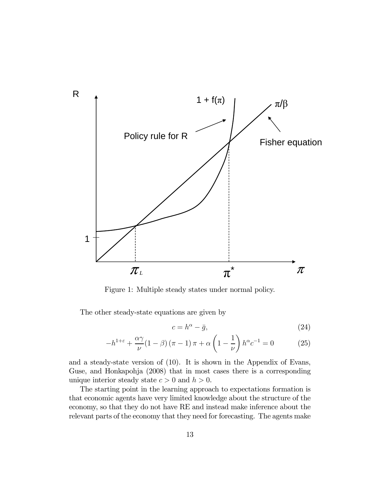

Figure 1: Multiple steady states under normal policy.

The other steady-state equations are given by

$$
c = h^{\alpha} - \bar{g},\tag{24}
$$

$$
-h^{1+\varepsilon} + \frac{\alpha \gamma}{\nu} (1-\beta) (\pi - 1) \pi + \alpha \left(1 - \frac{1}{\nu}\right) h^{\alpha} c^{-1} = 0 \tag{25}
$$

and a steady-state version of (10). It is shown in the Appendix of Evans, Guse, and Honkapohja (2008) that in most cases there is a corresponding unique interior steady state  $c > 0$  and  $h > 0$ .

The starting point in the learning approach to expectations formation is that economic agents have very limited knowledge about the structure of the economy, so that they do not have RE and instead make inference about the relevant parts of the economy that they need for forecasting. The agents make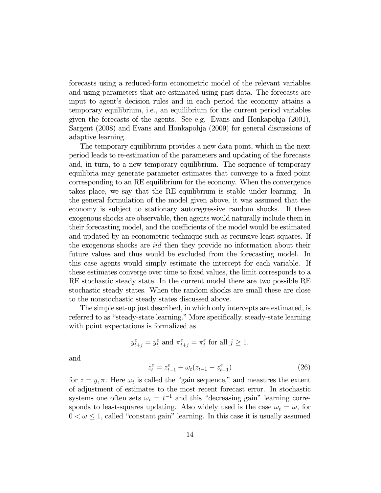forecasts using a reduced-form econometric model of the relevant variables and using parameters that are estimated using past data. The forecasts are input to agent's decision rules and in each period the economy attains a temporary equilibrium, i.e., an equilibrium for the current period variables given the forecasts of the agents. See e.g. Evans and Honkapohja (2001), Sargent (2008) and Evans and Honkapohja (2009) for general discussions of adaptive learning.

The temporary equilibrium provides a new data point, which in the next period leads to re-estimation of the parameters and updating of the forecasts and, in turn, to a new temporary equilibrium. The sequence of temporary equilibria may generate parameter estimates that converge to a fixed point corresponding to an RE equilibrium for the economy. When the convergence takes place, we say that the RE equilibrium is stable under learning. In the general formulation of the model given above, it was assumed that the economy is subject to stationary autoregressive random shocks. If these exogenous shocks are observable, then agents would naturally include them in their forecasting model, and the coefficients of the model would be estimated and updated by an econometric technique such as recursive least squares. If the exogenous shocks are iid then they provide no information about their future values and thus would be excluded from the forecasting model. In this case agents would simply estimate the intercept for each variable. If these estimates converge over time to fixed values, the limit corresponds to a RE stochastic steady state. In the current model there are two possible RE stochastic steady states. When the random shocks are small these are close to the nonstochastic steady states discussed above.

The simple set-up just described, in which only intercepts are estimated, is referred to as "steady-state learning." More specifically, steady-state learning with point expectations is formalized as

$$
y_{t+j}^e = y_t^e
$$
 and  $\pi_{t+j}^e = \pi_t^e$  for all  $j \ge 1$ .

and

$$
z_t^e = z_{t-1}^e + \omega_t (z_{t-1} - z_{t-1}^e) \tag{26}
$$

for  $z = y, \pi$ . Here  $\omega_t$  is called the "gain sequence," and measures the extent of adjustment of estimates to the most recent forecast error. In stochastic systems one often sets  $\omega_t = t^{-1}$  and this "decreasing gain" learning corresponds to least-squares updating. Also widely used is the case  $\omega_t = \omega$ , for  $0 < \omega \leq 1$ , called "constant gain" learning. In this case it is usually assumed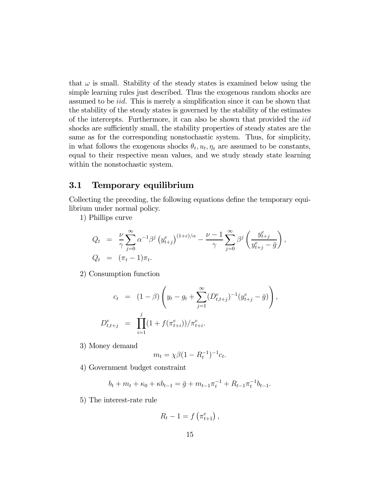that  $\omega$  is small. Stability of the steady states is examined below using the simple learning rules just described. Thus the exogenous random shocks are assumed to be iid. This is merely a simplification since it can be shown that the stability of the steady states is governed by the stability of the estimates of the intercepts. Furthermore, it can also be shown that provided the iid shocks are sufficiently small, the stability properties of steady states are the same as for the corresponding nonstochastic system. Thus, for simplicity, in what follows the exogenous shocks  $\theta_t$ ,  $u_t$ ,  $\eta_t$  are assumed to be constants, equal to their respective mean values, and we study steady state learning within the nonstochastic system.

#### 3.1 Temporary equilibrium

Collecting the preceding, the following equations define the temporary equilibrium under normal policy.

1) Phillips curve

$$
Q_t = \frac{\nu}{\gamma} \sum_{j=0}^{\infty} \alpha^{-1} \beta^j \left( y_{t+j}^e \right)^{(1+\varepsilon)/\alpha} - \frac{\nu-1}{\gamma} \sum_{j=0}^{\infty} \beta^j \left( \frac{y_{t+j}^e}{y_{t+j}^e - \bar{g}} \right),
$$
  
\n
$$
Q_t = (\pi_t - 1)\pi_t.
$$

2) Consumption function

$$
c_t = (1 - \beta) \left( y_t - g_t + \sum_{j=1}^{\infty} (D_{t,t+j}^e)^{-1} (y_{t+j}^e - \bar{g}) \right)
$$
  

$$
D_{t,t+j}^e = \prod_{i=1}^j (1 + f(\pi_{t+i}^e))/\pi_{t+i}^e.
$$

,

3) Money demand

$$
m_t = \chi \beta (1 - R_t^{-1})^{-1} c_t.
$$

4) Government budget constraint

$$
b_t + m_t + \kappa_0 + \kappa b_{t-1} = \bar{g} + m_{t-1} \pi_t^{-1} + R_{t-1} \pi_t^{-1} b_{t-1}.
$$

5) The interest-rate rule

$$
R_t - 1 = f\left(\pi_{t+1}^e\right),\,
$$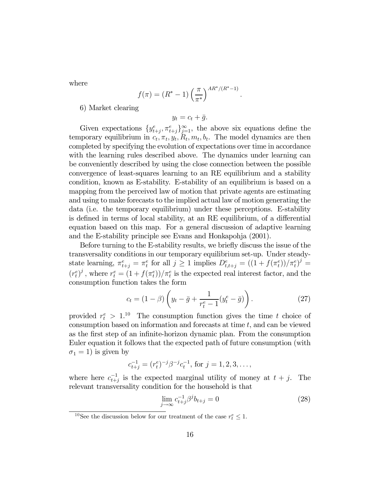where

$$
f(\pi) = (R^* - 1) \left(\frac{\pi}{\pi^*}\right)^{AR^*/(R^*-1)}
$$

.

6) Market clearing

$$
y_t = c_t + \bar{g}.
$$

Given expectations  $\{y_{t+j}^e, \pi_{t+j}^e\}_{j=1}^\infty$ , the above six equations define the temporary equilibrium in  $c_t, \pi_t, y_t, R_t, m_t, b_t$ . The model dynamics are then completed by specifying the evolution of expectations over time in accordance with the learning rules described above. The dynamics under learning can be conveniently described by using the close connection between the possible convergence of least-squares learning to an RE equilibrium and a stability condition, known as E-stability. E-stability of an equilibrium is based on a mapping from the perceived law of motion that private agents are estimating and using to make forecasts to the implied actual law of motion generating the data (i.e. the temporary equilibrium) under these perceptions. E-stability is defined in terms of local stability, at an RE equilibrium, of a differential equation based on this map. For a general discussion of adaptive learning and the E-stability principle see Evans and Honkapohja (2001).

Before turning to the E-stability results, we briefly discuss the issue of the transversality conditions in our temporary equilibrium set-up. Under steadystate learning,  $\pi_{t+j}^e = \pi_t^e$  for all  $j \ge 1$  implies  $D_{t,t+j}^e = ((1 + f(\pi_t^e))/\pi_t^e)^j =$  $(r_t^e)^j$ , where  $r_t^e = (1 + f(\pi_t^e))/\pi_t^e$  is the expected real interest factor, and the consumption function takes the form

$$
c_t = (1 - \beta) \left( y_t - \bar{g} + \frac{1}{r_t^e - 1} (y_t^e - \bar{g}) \right).
$$
 (27)

provided  $r_t^e > 1.10$  The consumption function gives the time t choice of consumption based on information and forecasts at time  $t$ , and can be viewed as the first step of an infinite-horizon dynamic plan. From the consumption Euler equation it follows that the expected path of future consumption (with  $\sigma_1 = 1$ ) is given by

$$
c_{t+j}^{-1} = (r_t^e)^{-j} \beta^{-j} c_t^{-1}
$$
, for  $j = 1, 2, 3, ...$ ,

where here  $c_{t+j}^{-1}$  is the expected marginal utility of money at  $t + j$ . The relevant transversality condition for the household is that

$$
\lim_{j \to \infty} c_{t+j}^{-1} \beta^j b_{t+j} = 0 \tag{28}
$$

<sup>&</sup>lt;sup>10</sup>See the discussion below for our treatment of the case  $r_t^e \leq 1$ .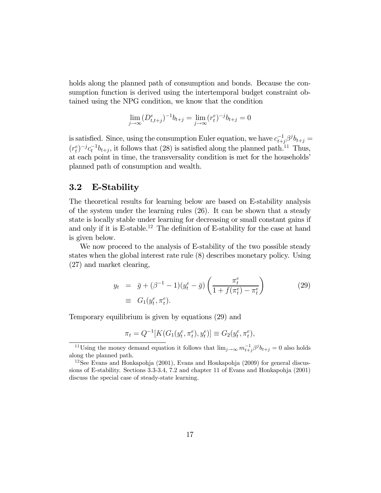holds along the planned path of consumption and bonds. Because the consumption function is derived using the intertemporal budget constraint obtained using the NPG condition, we know that the condition

$$
\lim_{j \to \infty} (D_{t,t+j}^e)^{-1} b_{t+j} = \lim_{j \to \infty} (r_t^e)^{-j} b_{t+j} = 0
$$

is satisfied. Since, using the consumption Euler equation, we have  $c_{t+j}^{-1}\beta^{j}b_{t+j} =$  $(r_t^e)^{-j} c_t^{-1} b_{t+j}$ , it follows that (28) is satisfied along the planned path.<sup>11</sup> Thus, at each point in time, the transversality condition is met for the households' planned path of consumption and wealth.

#### 3.2 E-Stability

The theoretical results for learning below are based on E-stability analysis of the system under the learning rules (26). It can be shown that a steady state is locally stable under learning for decreasing or small constant gains if and only if it is  $E$ -stable.<sup>12</sup> The definition of  $E$ -stability for the case at hand is given below.

We now proceed to the analysis of E-stability of the two possible steady states when the global interest rate rule (8) describes monetary policy. Using (27) and market clearing,

$$
y_t = \bar{g} + (\beta^{-1} - 1)(y_t^e - \bar{g}) \left( \frac{\pi_t^e}{1 + f(\pi_t^e) - \pi_t^e} \right)
$$
  

$$
= G_1(y_t^e, \pi_t^e).
$$
 (29)

Temporary equilibrium is given by equations (29) and

$$
\pi_t = Q^{-1}[K(G_1(y_t^e, \pi_t^e), y_t^e)] \equiv G_2(y_t^e, \pi_t^e),
$$

<sup>&</sup>lt;sup>11</sup>Using the money demand equation it follows that  $\lim_{j\to\infty} m_{t+j}^{-1}\beta^j b_{t+j} = 0$  also holds along the planned path.

 $12$ See Evans and Honkapohja (2001), Evans and Honkapohja (2009) for general discussions of E-stability. Sections 3.3-3.4, 7.2 and chapter 11 of Evans and Honkapohja (2001) discuss the special case of steady-state learning.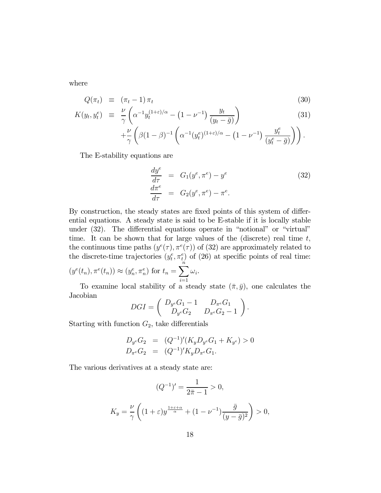where

$$
Q(\pi_t) \equiv (\pi_t - 1) \pi_t \tag{30}
$$

$$
K(y_t, y_t^e) \equiv \frac{\nu}{\gamma} \left( \alpha^{-1} y_t^{(1+\varepsilon)/\alpha} - (1 - \nu^{-1}) \frac{y_t}{(y_t - \bar{g})} \right) + \frac{\nu}{\gamma} \left( \beta (1 - \beta)^{-1} \left( \alpha^{-1} (y_t^e)^{(1+\varepsilon)/\alpha} - (1 - \nu^{-1}) \frac{y_t^e}{(y_t^e - \bar{g})} \right) \right).
$$
\n
$$
(31)
$$

The E-stability equations are

$$
\frac{dy^e}{d\tau} = G_1(y^e, \pi^e) - y^e
$$
\n
$$
\frac{d\pi^e}{d\tau} = G_2(y^e, \pi^e) - \pi^e.
$$
\n(32)

By construction, the steady states are fixed points of this system of differential equations. A steady state is said to be E-stable if it is locally stable under (32). The differential equations operate in "notional" or "virtual" time. It can be shown that for large values of the (discrete) real time  $t$ , the continuous time paths  $(y^e(\tau), \pi^e(\tau))$  of (32) are approximately related to the discrete-time trajectories  $(y_t^e, \pi_t^e)$  of (26) at specific points of real time:  $(y^e(t_n), \pi^e(t_n)) \approx (y_n^e, \pi_n^e)$  for  $t_n = \sum_{n=1}^{\infty}$  $\omega_i$ .

To examine local stability of a steady state 
$$
(\bar{\pi}, \bar{y})
$$
, one calculates the Jacobian

$$
DGI = \begin{pmatrix} D_{y^e}G_1 - 1 & D_{\pi^e}G_1 \\ D_{y^e}G_2 & D_{\pi^e}G_2 - 1 \end{pmatrix}.
$$

Starting with function  $G_2$ , take differentials

$$
D_{y^e} G_2 = (Q^{-1})'(K_y D_{y^e} G_1 + K_{y^e}) > 0
$$
  

$$
D_{\pi^e} G_2 = (Q^{-1})' K_y D_{\pi^e} G_1.
$$

The various derivatives at a steady state are:

$$
(Q^{-1})' = \frac{1}{2\bar{\pi} - 1} > 0,
$$
  

$$
K_y = \frac{\nu}{\gamma} \left( (1 + \varepsilon) y^{\frac{1 + \varepsilon + \alpha}{\alpha}} + (1 - \nu^{-1}) \frac{\bar{g}}{(y - \bar{g})^2} \right) > 0,
$$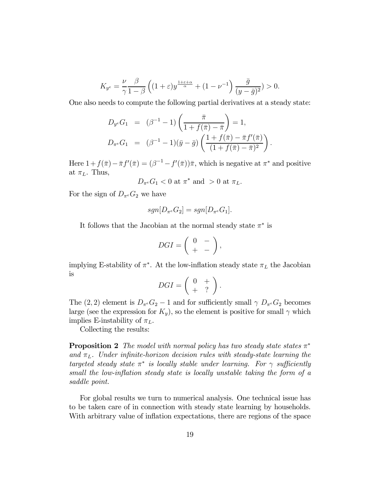$$
K_{y^e} = \frac{\nu}{\gamma} \frac{\beta}{1-\beta} \left( (1+\varepsilon) y^{\frac{1+\varepsilon+\alpha}{\alpha}} + (1-\nu^{-1}) \frac{\bar{g}}{(y-\bar{g})^2} \right) > 0.
$$

One also needs to compute the following partial derivatives at a steady state:

$$
D_{y^e}G_1 = (\beta^{-1} - 1) \left( \frac{\bar{\pi}}{1 + f(\bar{\pi}) - \bar{\pi}} \right) = 1,
$$
  

$$
D_{\pi^e}G_1 = (\beta^{-1} - 1)(\bar{y} - \bar{g}) \left( \frac{1 + f(\bar{\pi}) - \bar{\pi}f'(\bar{\pi})}{(1 + f(\bar{\pi}) - \bar{\pi})^2} \right)
$$

.

Here  $1 + f(\bar{\pi}) - \bar{\pi}f'(\bar{\pi}) = (\beta^{-1} - f'(\bar{\pi}))\bar{\pi}$ , which is negative at  $\pi^*$  and positive at  $\pi_L$ . Thus,

$$
D_{\pi^e} G_1 < 0 \text{ at } \pi^* \text{ and } > 0 \text{ at } \pi_L.
$$

For the sign of  $D_{\pi^e}G_2$  we have

$$
sgn[D_{\pi^e}G_2] = sgn[D_{\pi^e}G_1].
$$

It follows that the Jacobian at the normal steady state  $\pi^*$  is

$$
DGI = \left(\begin{array}{cc} 0 & - \\ + & - \end{array}\right),
$$

implying E-stability of  $\pi^*$ . At the low-inflation steady state  $\pi_L$  the Jacobian is

$$
DGI = \left(\begin{array}{cc} 0 & + \\ + & ? \end{array}\right).
$$

The (2, 2) element is  $D_{\pi^e}G_2 - 1$  and for sufficiently small  $\gamma D_{\pi^e}G_2$  becomes large (see the expression for  $K_y$ ), so the element is positive for small  $\gamma$  which implies E-instability of  $\pi_L$ .

Collecting the results:

**Proposition 2** The model with normal policy has two steady state states  $\pi^*$ and  $\pi_L$ . Under infinite-horizon decision rules with steady-state learning the targeted steady state  $\pi^*$  is locally stable under learning. For  $\gamma$  sufficiently small the low-inflation steady state is locally unstable taking the form of a saddle point.

For global results we turn to numerical analysis. One technical issue has to be taken care of in connection with steady state learning by households. With arbitrary value of inflation expectations, there are regions of the space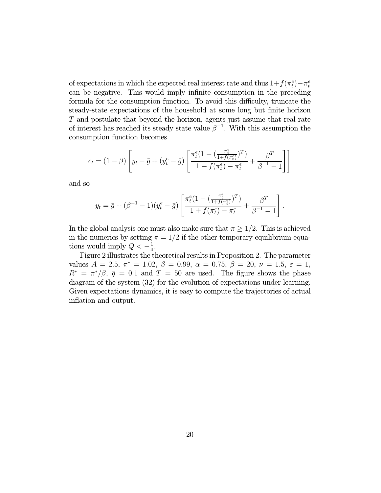of expectations in which the expected real interest rate and thus  $1+f(\pi_t^e)-\pi_t^e$ can be negative. This would imply infinite consumption in the preceding formula for the consumption function. To avoid this difficulty, truncate the steady-state expectations of the household at some long but finite horizon T and postulate that beyond the horizon, agents just assume that real rate of interest has reached its steady state value  $\beta^{-1}$ . With this assumption the consumption function becomes

$$
c_t = (1 - \beta) \left[ y_t - \bar{g} + (y_t^e - \bar{g}) \left[ \frac{\pi_t^e (1 - (\frac{\pi_t^e}{1 + f(\pi_t^e)})^T)}{1 + f(\pi_t^e) - \pi_t^e} + \frac{\beta^T}{\beta^{-1} - 1} \right] \right]
$$

and so

$$
y_t = \bar{g} + (\beta^{-1} - 1)(y_t^e - \bar{g}) \left[ \frac{\pi_t^e (1 - (\frac{\pi_t^e}{1 + f(\pi_t^e)})^T)}{1 + f(\pi_t^e) - \pi_t^e} + \frac{\beta^T}{\beta^{-1} - 1} \right]
$$

.

In the global analysis one must also make sure that  $\pi \geq 1/2$ . This is achieved in the numerics by setting  $\pi = 1/2$  if the other temporary equilibrium equations would imply  $Q < -\frac{1}{4}$ .

Figure 2 illustrates the theoretical results in Proposition 2. The parameter values  $A = 2.5$ ,  $\pi^* = 1.02$ ,  $\beta = 0.99$ ,  $\alpha = 0.75$ ,  $\beta = 20$ ,  $\nu = 1.5$ ,  $\varepsilon = 1$ ,  $R^* = \pi^*/\beta$ ,  $\bar{g} = 0.1$  and  $T = 50$  are used. The figure shows the phase diagram of the system (32) for the evolution of expectations under learning. Given expectations dynamics, it is easy to compute the trajectories of actual inflation and output.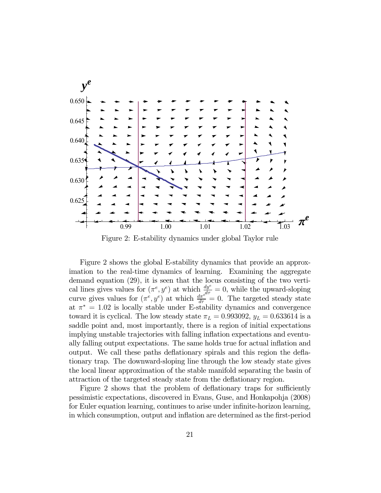

Figure 2: E-stability dynamics under global Taylor rule

Figure 2 shows the global E-stability dynamics that provide an approximation to the real-time dynamics of learning. Examining the aggregate demand equation (29), it is seen that the locus consisting of the two vertical lines gives values for  $(\pi^e, y^e)$  at which  $\frac{dy^e}{d\tau} = 0$ , while the upward-sloping curve gives values for  $(\pi^e, y^e)$  at which  $\frac{d\pi^{e^{i\theta}}}{d\tau} = 0$ . The targeted steady state at  $\pi^* = 1.02$  is locally stable under E-stability dynamics and convergence toward it is cyclical. The low steady state  $\pi_L = 0.993092$ ,  $y_L = 0.633614$  is a saddle point and, most importantly, there is a region of initial expectations implying unstable trajectories with falling inflation expectations and eventually falling output expectations. The same holds true for actual inflation and output. We call these paths deflationary spirals and this region the deflationary trap. The downward-sloping line through the low steady state gives the local linear approximation of the stable manifold separating the basin of attraction of the targeted steady state from the deflationary region.

Figure 2 shows that the problem of deflationary traps for sufficiently pessimistic expectations, discovered in Evans, Guse, and Honkapohja (2008) for Euler equation learning, continues to arise under infinite-horizon learning, in which consumption, output and inflation are determined as the first-period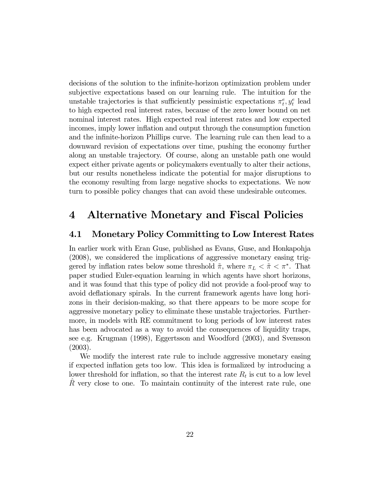decisions of the solution to the infinite-horizon optimization problem under subjective expectations based on our learning rule. The intuition for the unstable trajectories is that sufficiently pessimistic expectations  $\pi_t^e, y_t^e$  lead to high expected real interest rates, because of the zero lower bound on net nominal interest rates. High expected real interest rates and low expected incomes, imply lower inflation and output through the consumption function and the infinite-horizon Phillips curve. The learning rule can then lead to a downward revision of expectations over time, pushing the economy further along an unstable trajectory. Of course, along an unstable path one would expect either private agents or policymakers eventually to alter their actions, but our results nonetheless indicate the potential for major disruptions to the economy resulting from large negative shocks to expectations. We now turn to possible policy changes that can avoid these undesirable outcomes.

### 4 Alternative Monetary and Fiscal Policies

#### 4.1 Monetary Policy Committing to Low Interest Rates

In earlier work with Eran Guse, published as Evans, Guse, and Honkapohja (2008), we considered the implications of aggressive monetary easing triggered by inflation rates below some threshold  $\tilde{\pi}$ , where  $\pi_L < \tilde{\pi} < \pi^*$ . That paper studied Euler-equation learning in which agents have short horizons, and it was found that this type of policy did not provide a fool-proof way to avoid deflationary spirals. In the current framework agents have long horizons in their decision-making, so that there appears to be more scope for aggressive monetary policy to eliminate these unstable trajectories. Furthermore, in models with RE commitment to long periods of low interest rates has been advocated as a way to avoid the consequences of liquidity traps, see e.g. Krugman (1998), Eggertsson and Woodford (2003), and Svensson (2003).

We modify the interest rate rule to include aggressive monetary easing if expected inflation gets too low. This idea is formalized by introducing a lower threshold for inflation, so that the interest rate  $R_t$  is cut to a low level  $R$  very close to one. To maintain continuity of the interest rate rule, one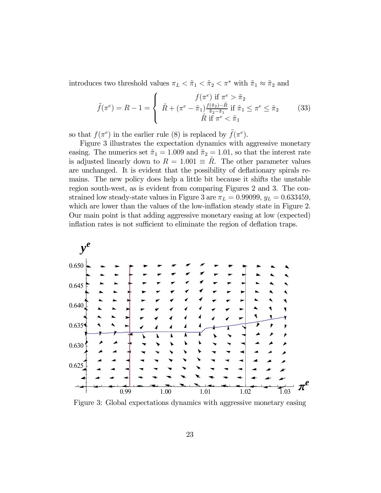introduces two threshold values  $\pi_L<\tilde{\pi}_1<\tilde{\pi}_2<\pi^*$  with  $\tilde{\pi}_1\approx\tilde{\pi}_2$  and

$$
\tilde{f}(\pi^e) = R - 1 = \begin{cases}\nf(\pi^e) & \text{if } \pi^e > \tilde{\pi}_2 \\
\hat{R} + (\pi^e - \tilde{\pi}_1) \frac{f(\tilde{\pi}_2) - \hat{R}}{\tilde{\pi}_2 - \tilde{\pi}_1} & \text{if } \tilde{\pi}_1 \le \pi^e \le \tilde{\pi}_2 \\
\hat{R} & \text{if } \pi^e < \tilde{\pi}_1\n\end{cases}
$$
\n(33)

so that  $f(\pi^e)$  in the earlier rule (8) is replaced by  $\tilde{f}(\pi^e)$ .

Figure 3 illustrates the expectation dynamics with aggressive monetary easing. The numerics set  $\tilde{\pi}_1 = 1.009$  and  $\tilde{\pi}_2 = 1.01$ , so that the interest rate is adjusted linearly down to  $R = 1.001 \equiv R$ . The other parameter values are unchanged. It is evident that the possibility of deflationary spirals remains. The new policy does help a little bit because it shifts the unstable region south-west, as is evident from comparing Figures 2 and 3. The constrained low steady-state values in Figure 3 are  $\pi_L = 0.99099$ ,  $y_L = 0.633459$ , which are lower than the values of the low-inflation steady state in Figure 2. Our main point is that adding aggressive monetary easing at low (expected) inflation rates is not sufficient to eliminate the region of deflation traps.



Figure 3: Global expectations dynamics with aggressive monetary easing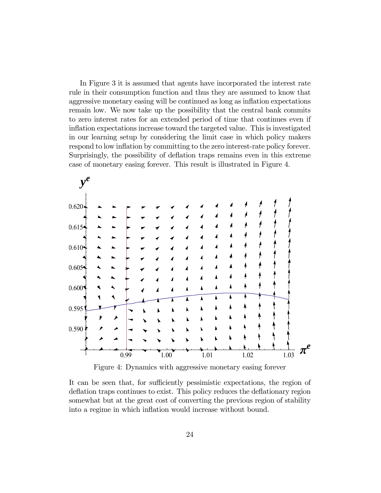In Figure 3 it is assumed that agents have incorporated the interest rate rule in their consumption function and thus they are assumed to know that aggressive monetary easing will be continued as long as inflation expectations remain low. We now take up the possibility that the central bank commits to zero interest rates for an extended period of time that continues even if inflation expectations increase toward the targeted value. This is investigated in our learning setup by considering the limit case in which policy makers respond to low inflation by committing to the zero interest-rate policy forever. Surprisingly, the possibility of deflation traps remains even in this extreme case of monetary easing forever. This result is illustrated in Figure 4.



Figure 4: Dynamics with aggressive monetary easing forever

It can be seen that, for sufficiently pessimistic expectations, the region of deflation traps continues to exist. This policy reduces the deflationary region somewhat but at the great cost of converting the previous region of stability into a regime in which inflation would increase without bound.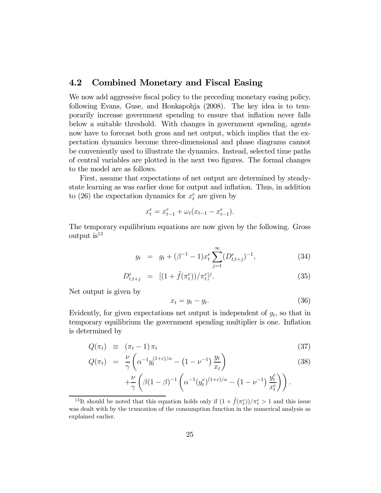#### 4.2 Combined Monetary and Fiscal Easing

We now add aggressive fiscal policy to the preceding monetary easing policy, following Evans, Guse, and Honkapohja (2008). The key idea is to temporarily increase government spending to ensure that inflation never falls below a suitable threshold. With changes in government spending, agents now have to forecast both gross and net output, which implies that the expectation dynamics become three-dimensional and phase diagrams cannot be conveniently used to illustrate the dynamics. Instead, selected time paths of central variables are plotted in the next two figures. The formal changes to the model are as follows.

First, assume that expectations of net output are determined by steadystate learning as was earlier done for output and inflation. Thus, in addition to (26) the expectation dynamics for  $x_t^e$  are given by

$$
x_t^e = x_{t-1}^e + \omega_t (x_{t-1} - x_{t-1}^e).
$$

The temporary equilibrium equations are now given by the following. Gross output  $is^{13}$ 

$$
y_t = g_t + (\beta^{-1} - 1)x_t^e \sum_{j=1}^{\infty} (D_{t,t+j}^e)^{-1}, \tag{34}
$$

$$
D_{t,t+j}^e = [(1 + \tilde{f}(\pi_t^e))/\pi_t^e]^j. \tag{35}
$$

Net output is given by

$$
x_t = y_t - g_t. \tag{36}
$$

Evidently, for given expectations net output is independent of  $g_t$ , so that in temporary equilibrium the government spending multiplier is one. Inflation is determined by

$$
Q(\pi_t) \equiv (\pi_t - 1) \pi_t \tag{37}
$$

$$
Q(\pi_t) = \frac{\nu}{\gamma} \left( \alpha^{-1} y_t^{(1+\varepsilon)/\alpha} - \left( 1 - \nu^{-1} \right) \frac{y_t}{x_t} \right) \tag{38}
$$

$$
+\frac{\nu}{\gamma}\left(\beta(1-\beta)^{-1}\left(\alpha^{-1}(y_t^e)^{(1+\varepsilon)/\alpha}-\left(1-\nu^{-1}\right)\frac{y_t^e}{x_t^e}\right)\right).
$$

<sup>&</sup>lt;sup>13</sup>It should be noted that this equation holds only if  $(1 + \tilde{f}(\pi_t^e))/\pi_t^e > 1$  and this issue was dealt with by the truncation of the consumption function in the numerical analysis as explained earlier.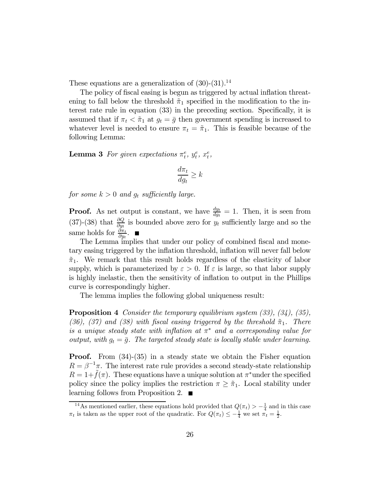These equations are a generalization of  $(30)-(31).<sup>14</sup>$ 

The policy of fiscal easing is begun as triggered by actual inflation threatening to fall below the threshold  $\tilde{\pi}_1$  specified in the modification to the interest rate rule in equation (33) in the preceding section. Specifically, it is assumed that if  $\pi_t < \tilde{\pi}_1$  at  $g_t = \bar{g}$  then government spending is increased to whatever level is needed to ensure  $\pi_t = \tilde{\pi}_1$ . This is feasible because of the following Lemma:

**Lemma 3** For given expectations  $\pi_t^e$ ,  $y_t^e$ ,  $x_t^e$ ,

$$
\frac{d\pi_t}{dg_t} \geq k
$$

for some  $k > 0$  and  $g_t$  sufficiently large.

**Proof.** As net output is constant, we have  $\frac{dy_t}{dy_t} = 1$ . Then, it is seen from (37)-(38) that  $\frac{\partial Q}{\partial y_t}$  is bounded above zero for  $y_t$  sufficiently large and so the same holds for  $\frac{\partial \pi_t}{\partial y_t}$ .

The Lemma implies that under our policy of combined fiscal and monetary easing triggered by the inflation threshold, inflation will never fall below  $\tilde{\pi}_1$ . We remark that this result holds regardless of the elasticity of labor supply, which is parameterized by  $\varepsilon > 0$ . If  $\varepsilon$  is large, so that labor supply is highly inelastic, then the sensitivity of inflation to output in the Phillips curve is correspondingly higher.

The lemma implies the following global uniqueness result:

Proposition 4 Consider the temporary equilibrium system (33), (34), (35), (36), (37) and (38) with fiscal easing triggered by the threshold  $\tilde{\pi}_1$ . There is a unique steady state with inflation at  $\pi^*$  and a corresponding value for output, with  $g_t = \bar{g}$ . The targeted steady state is locally stable under learning.

**Proof.** From  $(34)-(35)$  in a steady state we obtain the Fisher equation  $R = \beta^{-1}\pi$ . The interest rate rule provides a second steady-state relationship  $R = 1+f(\pi)$ . These equations have a unique solution at  $\pi^*$  under the specified policy since the policy implies the restriction  $\pi \geq \tilde{\pi}_1$ . Local stability under learning follows from Proposition 2.  $\blacksquare$ 

<sup>&</sup>lt;sup>14</sup>As mentioned earlier, these equations hold provided that  $Q(\pi_t) > -\frac{1}{4}$  and in this case  $\pi_t$  is taken as the upper root of the quadratic. For  $Q(\pi_t) \leq -\frac{1}{4}$  we set  $\pi_t = \frac{1}{2}$ .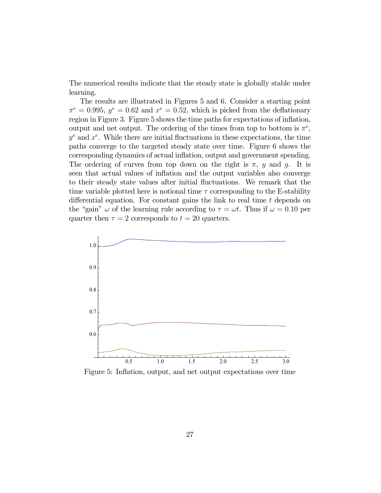The numerical results indicate that the steady state is globally stable under learning.

The results are illustrated in Figures 5 and 6. Consider a starting point  $\pi^e = 0.995$ ,  $y^e = 0.62$  and  $x^e = 0.52$ , which is picked from the deflationary region in Figure 3. Figure 5 shows the time paths for expectations of inflation, output and net output. The ordering of the times from top to bottom is  $\pi^e$ ,  $y^e$  and  $x^e$ . While there are initial fluctuations in these expectations, the time paths converge to the targeted steady state over time. Figure 6 shows the corresponding dynamics of actual inflation, output and government spending. The ordering of curves from top down on the right is  $\pi$ , y and g. It is seen that actual values of inflation and the output variables also converge to their steady state values after initial fluctuations. We remark that the time variable plotted here is notional time  $\tau$  corresponding to the E-stability differential equation. For constant gains the link to real time  $t$  depends on the "gain"  $\omega$  of the learning rule according to  $\tau = \omega t$ . Thus if  $\omega = 0.10$  per quarter then  $\tau = 2$  corresponds to  $t = 20$  quarters.



Figure 5: Inflation, output, and net output expectations over time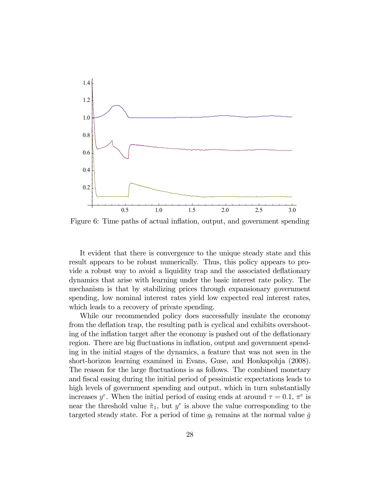

Figure 6: Time paths of actual inflation, output, and government spending

It evident that there is convergence to the unique steady state and this result appears to be robust numerically. Thus, this policy appears to provide a robust way to avoid a liquidity trap and the associated deflationary dynamics that arise with learning under the basic interest rate policy. The mechanism is that by stabilizing prices through expansionary government spending, low nominal interest rates yield low expected real interest rates, which leads to a recovery of private spending.

While our recommended policy does successfully insulate the economy from the deflation trap, the resulting path is cyclical and exhibits overshooting of the inflation target after the economy is pushed out of the deflationary region. There are big fluctuations in inflation, output and government spending in the initial stages of the dynamics, a feature that was not seen in the short-horizon learning examined in Evans, Guse, and Honkapohja (2008). The reason for the large fluctuations is as follows. The combined monetary and fiscal easing during the initial period of pessimistic expectations leads to high levels of government spending and output, which in turn substantially increases  $y^e$ . When the initial period of easing ends at around  $\tau = 0.1$ ,  $\pi^e$  is near the threshold value  $\tilde{\pi}_1$ , but  $y^e$  is above the value corresponding to the targeted steady state. For a period of time  $g_t$  remains at the normal value  $\bar{g}$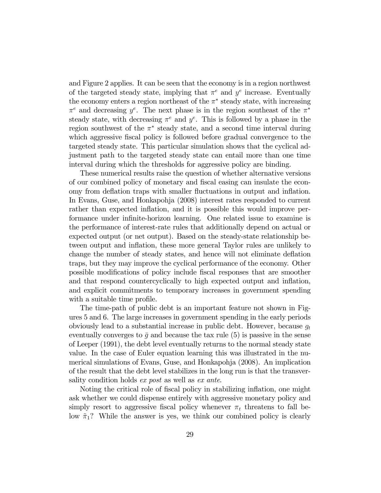and Figure 2 applies. It can be seen that the economy is in a region northwest of the targeted steady state, implying that  $\pi^e$  and  $y^e$  increase. Eventually the economy enters a region northeast of the  $\pi^*$  steady state, with increasing  $\pi^e$  and decreasing  $y^e$ . The next phase is in the region southeast of the  $\pi^*$ steady state, with decreasing  $\pi^e$  and  $y^e$ . This is followed by a phase in the region southwest of the  $\pi^*$  steady state, and a second time interval during which aggressive fiscal policy is followed before gradual convergence to the targeted steady state. This particular simulation shows that the cyclical adjustment path to the targeted steady state can entail more than one time interval during which the thresholds for aggressive policy are binding.

These numerical results raise the question of whether alternative versions of our combined policy of monetary and fiscal easing can insulate the economy from deflation traps with smaller fluctuations in output and inflation. In Evans, Guse, and Honkapohja (2008) interest rates responded to current rather than expected inflation, and it is possible this would improve performance under infinite-horizon learning. One related issue to examine is the performance of interest-rate rules that additionally depend on actual or expected output (or net output). Based on the steady-state relationship between output and inflation, these more general Taylor rules are unlikely to change the number of steady states, and hence will not eliminate deflation traps, but they may improve the cyclical performance of the economy. Other possible modifications of policy include fiscal responses that are smoother and that respond countercyclically to high expected output and inflation, and explicit commitments to temporary increases in government spending with a suitable time profile.

The time-path of public debt is an important feature not shown in Figures 5 and 6. The large increases in government spending in the early periods obviously lead to a substantial increase in public debt. However, because  $q_t$ eventually converges to  $\bar{g}$  and because the tax rule (5) is passive in the sense of Leeper (1991), the debt level eventually returns to the normal steady state value. In the case of Euler equation learning this was illustrated in the numerical simulations of Evans, Guse, and Honkapohja (2008). An implication of the result that the debt level stabilizes in the long run is that the transversality condition holds ex post as well as ex ante.

Noting the critical role of fiscal policy in stabilizing inflation, one might ask whether we could dispense entirely with aggressive monetary policy and simply resort to aggressive fiscal policy whenever  $\pi_t$  threatens to fall below  $\tilde{\pi}_1$ ? While the answer is yes, we think our combined policy is clearly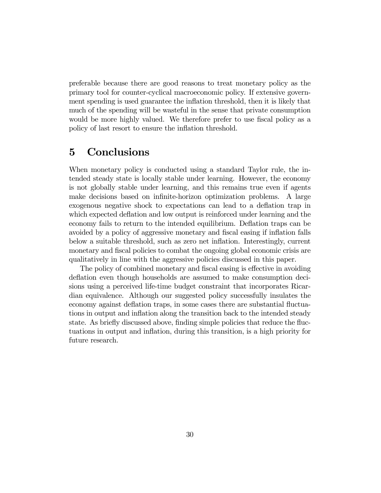preferable because there are good reasons to treat monetary policy as the primary tool for counter-cyclical macroeconomic policy. If extensive government spending is used guarantee the inflation threshold, then it is likely that much of the spending will be wasteful in the sense that private consumption would be more highly valued. We therefore prefer to use fiscal policy as a policy of last resort to ensure the inflation threshold.

# 5 Conclusions

When monetary policy is conducted using a standard Taylor rule, the intended steady state is locally stable under learning. However, the economy is not globally stable under learning, and this remains true even if agents make decisions based on infinite-horizon optimization problems. A large exogenous negative shock to expectations can lead to a deflation trap in which expected deflation and low output is reinforced under learning and the economy fails to return to the intended equilibrium. Deflation traps can be avoided by a policy of aggressive monetary and fiscal easing if inflation falls below a suitable threshold, such as zero net inflation. Interestingly, current monetary and fiscal policies to combat the ongoing global economic crisis are qualitatively in line with the aggressive policies discussed in this paper.

The policy of combined monetary and fiscal easing is effective in avoiding deflation even though households are assumed to make consumption decisions using a perceived life-time budget constraint that incorporates Ricardian equivalence. Although our suggested policy successfully insulates the economy against deflation traps, in some cases there are substantial fluctuations in output and inflation along the transition back to the intended steady state. As briefly discussed above, finding simple policies that reduce the fluctuations in output and inflation, during this transition, is a high priority for future research.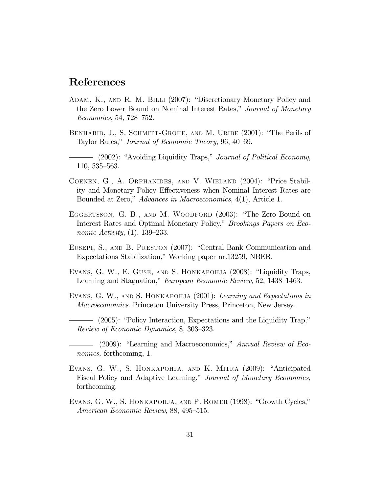### References

- Adam, K., and R. M. Billi (2007): "Discretionary Monetary Policy and the Zero Lower Bound on Nominal Interest Rates," Journal of Monetary Economics, 54, 728—752.
- BENHABIB, J., S. SCHMITT-GROHE, AND M. URIBE (2001): "The Perils of Taylor Rules," Journal of Economic Theory, 96, 40—69.
- (2002): "Avoiding Liquidity Traps," *Journal of Political Economy*, 110, 535—563.
- Coenen, G., A. Orphanides, and V. Wieland (2004): "Price Stability and Monetary Policy Effectiveness when Nominal Interest Rates are Bounded at Zero," Advances in Macroeconomics, 4(1), Article 1.
- EGGERTSSON, G. B., AND M. WOODFORD (2003): "The Zero Bound on Interest Rates and Optimal Monetary Policy," Brookings Papers on Economic Activity, (1), 139—233.
- Eusepi, S., and B. Preston (2007): "Central Bank Communication and Expectations Stabilization," Working paper nr.13259, NBER.
- Evans, G. W., E. Guse, and S. Honkapohja (2008): "Liquidity Traps, Learning and Stagnation," European Economic Review, 52, 1438—1463.
- EVANS, G. W., AND S. HONKAPOHJA (2001): Learning and Expectations in Macroeconomics. Princeton University Press, Princeton, New Jersey.
	- (2005): "Policy Interaction, Expectations and the Liquidity Trap," Review of Economic Dynamics, 8, 303—323.
- (2009): "Learning and Macroeconomics," Annual Review of Economics, forthcoming, 1.
- EVANS, G. W., S. HONKAPOHJA, AND K. MITRA (2009): "Anticipated Fiscal Policy and Adaptive Learning," Journal of Monetary Economics, forthcoming.
- EVANS, G. W., S. HONKAPOHJA, AND P. ROMER (1998): "Growth Cycles," American Economic Review, 88, 495—515.